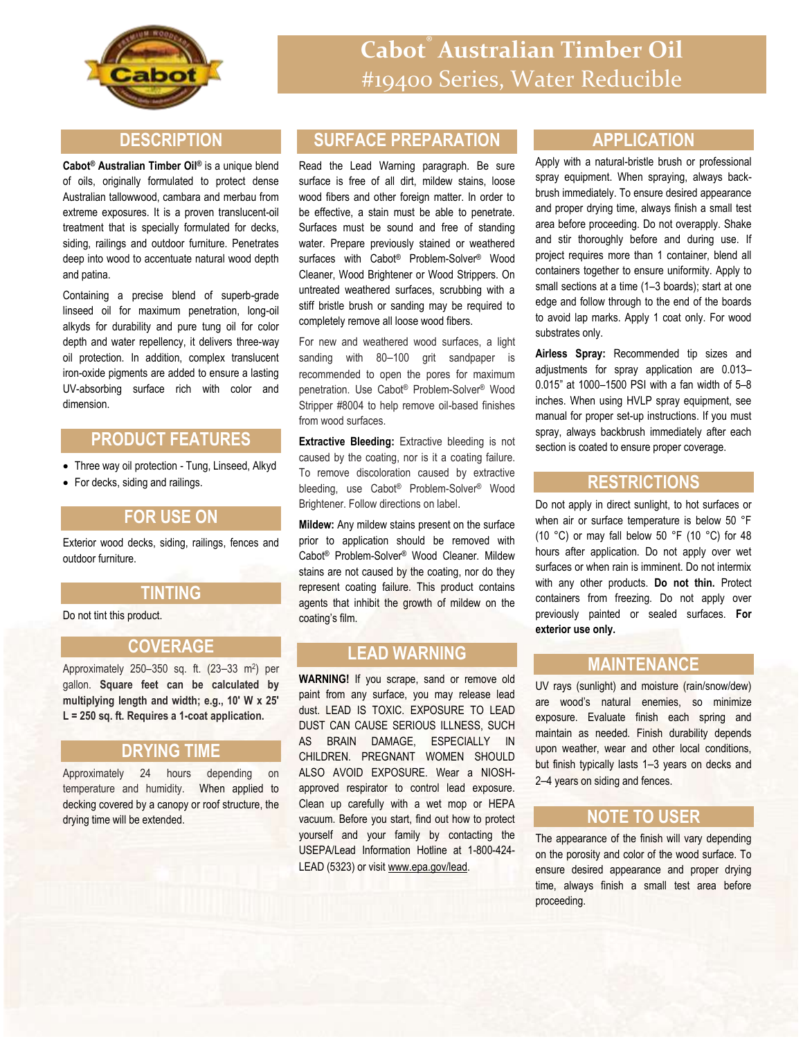

## **DESCRIPTION**

**Cabot® Australian Timber Oil®** is a unique blend of oils, originally formulated to protect dense Australian tallowwood, cambara and merbau from extreme exposures. It is a proven translucent-oil treatment that is specially formulated for decks, siding, railings and outdoor furniture. Penetrates deep into wood to accentuate natural wood depth and patina.

Containing a precise blend of superb-grade linseed oil for maximum penetration, long-oil alkyds for durability and pure tung oil for color depth and water repellency, it delivers three-way oil protection. In addition, complex translucent iron-oxide pigments are added to ensure a lasting UV-absorbing surface rich with color and dimension.

# **PRODUCT FEATURES**

- Three way oil protection Tung, Linseed, Alkyd
- For decks, siding and railings.

### **FOR USE ON**

Exterior wood decks, siding, railings, fences and outdoor furniture.

### **TINTING**

Do not tint this product.

### **COVERAGE**

Approximately 250–350 sq. ft. (23–33 m<sup>2</sup> ) per gallon. **Square feet can be calculated by multiplying length and width; e.g., 10' W x 25' L = 250 sq. ft. Requires a 1-coat application.**

### **DRYING TIME**

Approximately 24 hours depending on temperature and humidity. When applied to decking covered by a canopy or roof structure, the drying time will be extended.

# **SURFACE PREPARATION**

Read the Lead Warning paragraph. Be sure surface is free of all dirt, mildew stains, loose wood fibers and other foreign matter. In order to be effective, a stain must be able to penetrate. Surfaces must be sound and free of standing water. Prepare previously stained or weathered surfaces with Cabot® Problem-Solver® Wood Cleaner, Wood Brightener or Wood Strippers. On untreated weathered surfaces, scrubbing with a stiff bristle brush or sanding may be required to completely remove all loose wood fibers.

For new and weathered wood surfaces, a light sanding with 80-100 grit sandpaper is recommended to open the pores for maximum penetration. Use Cabot® Problem-Solver® Wood Stripper #8004 to help remove oil-based finishes from wood surfaces.

**Extractive Bleeding:** Extractive bleeding is not caused by the coating, nor is it a coating failure. To remove discoloration caused by extractive bleeding, use Cabot® Problem-Solver® Wood Brightener. Follow directions on label.

**Mildew:** Any mildew stains present on the surface prior to application should be removed with Cabot® Problem-Solver® Wood Cleaner. Mildew stains are not caused by the coating, nor do they represent coating failure. This product contains agents that inhibit the growth of mildew on the coating's film.

# **LEAD WARNING**

**WARNING!** If you scrape, sand or remove old paint from any surface, you may release lead dust. LEAD IS TOXIC. EXPOSURE TO LEAD DUST CAN CAUSE SERIOUS ILLNESS, SUCH AS BRAIN DAMAGE, ESPECIALLY IN CHILDREN. PREGNANT WOMEN SHOULD ALSO AVOID EXPOSURE. Wear a NIOSHapproved respirator to control lead exposure. Clean up carefully with a wet mop or HEPA vacuum. Before you start, find out how to protect yourself and your family by contacting the USEPA/Lead Information Hotline at 1-800-424- LEAD (5323) or visit www.epa.gov/lead.

### **APPLICATION**

Apply with a natural-bristle brush or professional spray equipment. When spraying, always backbrush immediately. To ensure desired appearance and proper drying time, always finish a small test area before proceeding. Do not overapply. Shake and stir thoroughly before and during use. If project requires more than 1 container, blend all containers together to ensure uniformity. Apply to small sections at a time (1–3 boards); start at one edge and follow through to the end of the boards to avoid lap marks. Apply 1 coat only. For wood substrates only.

**Airless Spray:** Recommended tip sizes and adjustments for spray application are 0.013– 0.015" at 1000–1500 PSI with a fan width of 5–8 inches. When using HVLP spray equipment, see manual for proper set-up instructions. If you must spray, always backbrush immediately after each section is coated to ensure proper coverage.

### **RESTRICTIONS**

Do not apply in direct sunlight, to hot surfaces or when air or surface temperature is below 50 °F (10 °C) or may fall below 50 °F (10 °C) for 48 hours after application. Do not apply over wet surfaces or when rain is imminent. Do not intermix with any other products. **Do not thin.** Protect containers from freezing. Do not apply over previously painted or sealed surfaces. **For exterior use only.**

### **MAINTENANCE**

UV rays (sunlight) and moisture (rain/snow/dew) are wood's natural enemies, so minimize exposure. Evaluate finish each spring and maintain as needed. Finish durability depends upon weather, wear and other local conditions, but finish typically lasts 1–3 years on decks and 2–4 years on siding and fences.

# **NOTE TO USER**

The appearance of the finish will vary depending on the porosity and color of the wood surface. To ensure desired appearance and proper drying time, always finish a small test area before proceeding.